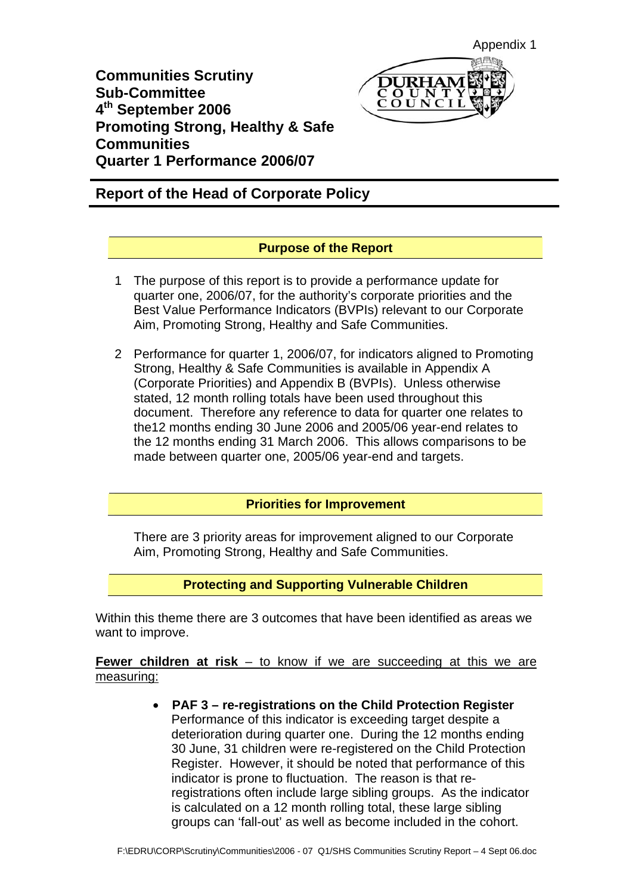**Communities Scrutiny Sub-Committee 4th September 2006 Promoting Strong, Healthy & Safe Communities Quarter 1 Performance 2006/07** 

# **Report of the Head of Corporate Policy**

## **Purpose of the Report**

- 1 The purpose of this report is to provide a performance update for quarter one, 2006/07, for the authority's corporate priorities and the Best Value Performance Indicators (BVPIs) relevant to our Corporate Aim, Promoting Strong, Healthy and Safe Communities.
- 2 Performance for quarter 1, 2006/07, for indicators aligned to Promoting Strong, Healthy & Safe Communities is available in Appendix A (Corporate Priorities) and Appendix B (BVPIs). Unless otherwise stated, 12 month rolling totals have been used throughout this document. Therefore any reference to data for quarter one relates to the12 months ending 30 June 2006 and 2005/06 year-end relates to the 12 months ending 31 March 2006. This allows comparisons to be made between quarter one, 2005/06 year-end and targets.

## **Priorities for Improvement**

There are 3 priority areas for improvement aligned to our Corporate Aim, Promoting Strong, Healthy and Safe Communities.

**Protecting and Supporting Vulnerable Children** 

Within this theme there are 3 outcomes that have been identified as areas we want to improve.

**Fewer children at risk** – to know if we are succeeding at this we are measuring:

> • **PAF 3 – re-registrations on the Child Protection Register**  Performance of this indicator is exceeding target despite a deterioration during quarter one. During the 12 months ending 30 June, 31 children were re-registered on the Child Protection Register. However, it should be noted that performance of this indicator is prone to fluctuation. The reason is that reregistrations often include large sibling groups. As the indicator is calculated on a 12 month rolling total, these large sibling groups can 'fall-out' as well as become included in the cohort.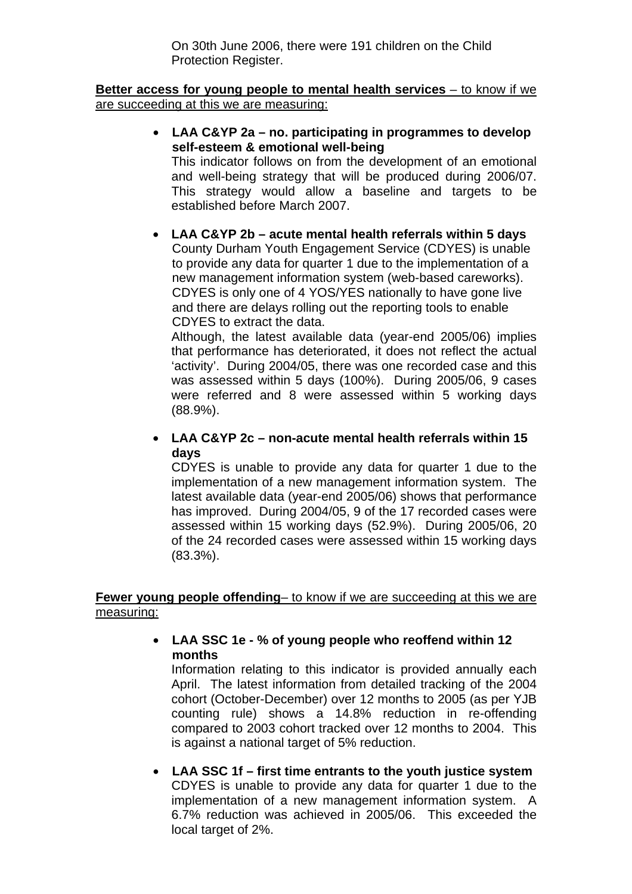On 30th June 2006, there were 191 children on the Child Protection Register.

#### **Better access for young people to mental health services** – to know if we are succeeding at this we are measuring:

• **LAA C&YP 2a – no. participating in programmes to develop self-esteem & emotional well-being** 

This indicator follows on from the development of an emotional and well-being strategy that will be produced during 2006/07. This strategy would allow a baseline and targets to be established before March 2007.

#### • **LAA C&YP 2b – acute mental health referrals within 5 days**  County Durham Youth Engagement Service (CDYES) is unable

to provide any data for quarter 1 due to the implementation of a new management information system (web-based careworks). CDYES is only one of 4 YOS/YES nationally to have gone live and there are delays rolling out the reporting tools to enable CDYES to extract the data.

Although, the latest available data (year-end 2005/06) implies that performance has deteriorated, it does not reflect the actual 'activity'. During 2004/05, there was one recorded case and this was assessed within 5 days (100%). During 2005/06, 9 cases were referred and 8 were assessed within 5 working days (88.9%).

### • **LAA C&YP 2c – non-acute mental health referrals within 15 days**

CDYES is unable to provide any data for quarter 1 due to the implementation of a new management information system. The latest available data (year-end 2005/06) shows that performance has improved. During 2004/05, 9 of the 17 recorded cases were assessed within 15 working days (52.9%). During 2005/06, 20 of the 24 recorded cases were assessed within 15 working days (83.3%).

### **Fewer young people offending**– to know if we are succeeding at this we are measuring:

### • **LAA SSC 1e - % of young people who reoffend within 12 months**

Information relating to this indicator is provided annually each April. The latest information from detailed tracking of the 2004 cohort (October-December) over 12 months to 2005 (as per YJB counting rule) shows a 14.8% reduction in re-offending compared to 2003 cohort tracked over 12 months to 2004. This is against a national target of 5% reduction.

• **LAA SSC 1f – first time entrants to the youth justice system**  CDYES is unable to provide any data for quarter 1 due to the implementation of a new management information system. A 6.7% reduction was achieved in 2005/06. This exceeded the local target of 2%.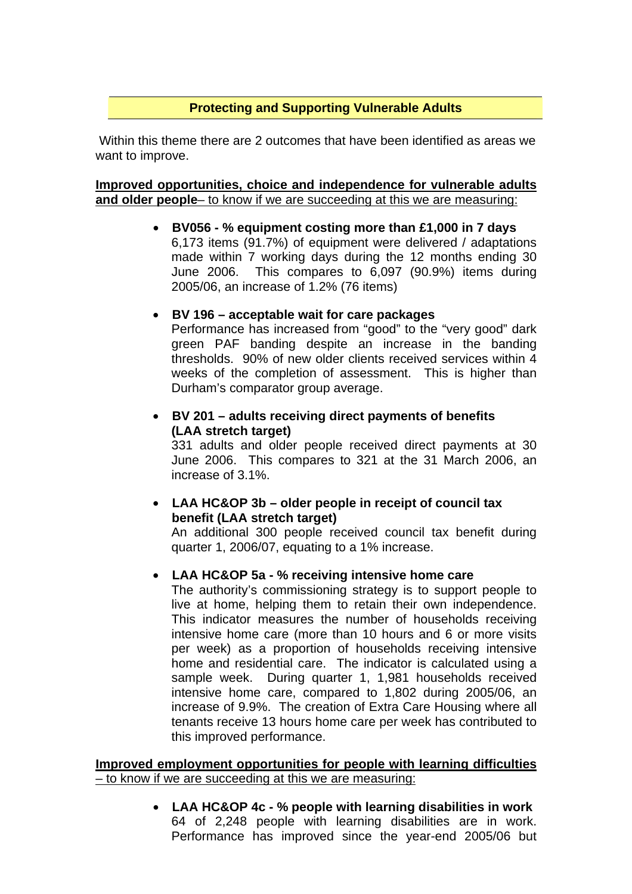### **Protecting and Supporting Vulnerable Adults**

 Within this theme there are 2 outcomes that have been identified as areas we want to improve.

#### **Improved opportunities, choice and independence for vulnerable adults and older people**– to know if we are succeeding at this we are measuring:

• **BV056 - % equipment costing more than £1,000 in 7 days**  6,173 items (91.7%) of equipment were delivered / adaptations made within 7 working days during the 12 months ending 30 June 2006. This compares to 6,097 (90.9%) items during 2005/06, an increase of 1.2% (76 items)

#### • **BV 196 – acceptable wait for care packages**

Performance has increased from "good" to the "very good" dark green PAF banding despite an increase in the banding thresholds. 90% of new older clients received services within 4 weeks of the completion of assessment. This is higher than Durham's comparator group average.

### • **BV 201 – adults receiving direct payments of benefits (LAA stretch target)**

331 adults and older people received direct payments at 30 June 2006. This compares to 321 at the 31 March 2006, an increase of 3.1%.

### • **LAA HC&OP 3b – older people in receipt of council tax benefit (LAA stretch target)**

An additional 300 people received council tax benefit during quarter 1, 2006/07, equating to a 1% increase.

### • **LAA HC&OP 5a - % receiving intensive home care**

The authority's commissioning strategy is to support people to live at home, helping them to retain their own independence. This indicator measures the number of households receiving intensive home care (more than 10 hours and 6 or more visits per week) as a proportion of households receiving intensive home and residential care. The indicator is calculated using a sample week. During quarter 1, 1,981 households received intensive home care, compared to 1,802 during 2005/06, an increase of 9.9%. The creation of Extra Care Housing where all tenants receive 13 hours home care per week has contributed to this improved performance.

#### **Improved employment opportunities for people with learning difficulties**  – to know if we are succeeding at this we are measuring:

• **LAA HC&OP 4c - % people with learning disabilities in work**  64 of 2,248 people with learning disabilities are in work. Performance has improved since the year-end 2005/06 but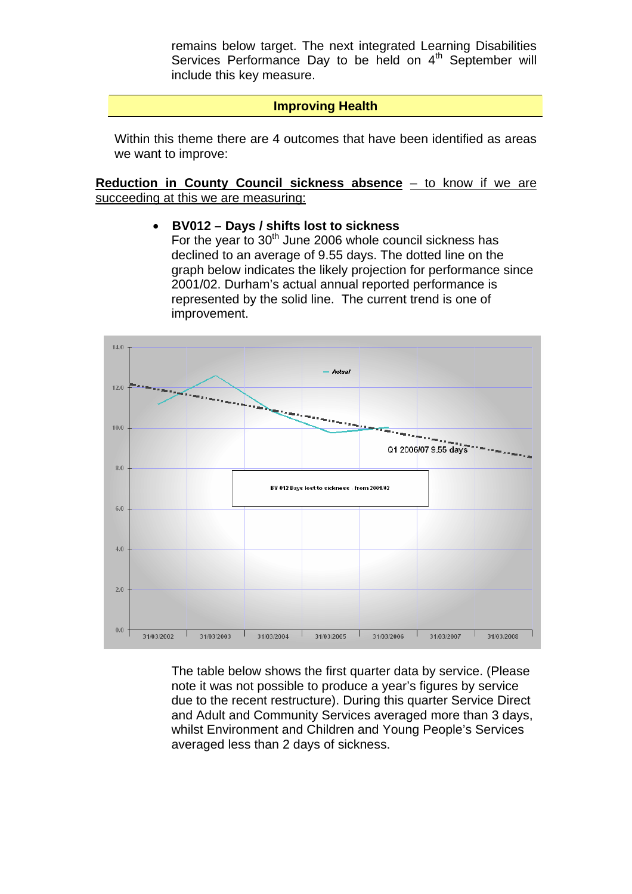remains below target. The next integrated Learning Disabilities Services Performance Day to be held on 4<sup>th</sup> September will include this key measure.

### **Improving Health**

Within this theme there are 4 outcomes that have been identified as areas we want to improve:

**Reduction in County Council sickness absence** – to know if we are succeeding at this we are measuring:

#### • **BV012 – Days / shifts lost to sickness**

For the year to  $30<sup>th</sup>$  June 2006 whole council sickness has declined to an average of 9.55 days. The dotted line on the graph below indicates the likely projection for performance since 2001/02. Durham's actual annual reported performance is represented by the solid line. The current trend is one of improvement.



The table below shows the first quarter data by service. (Please note it was not possible to produce a year's figures by service due to the recent restructure). During this quarter Service Direct and Adult and Community Services averaged more than 3 days, whilst Environment and Children and Young People's Services averaged less than 2 days of sickness.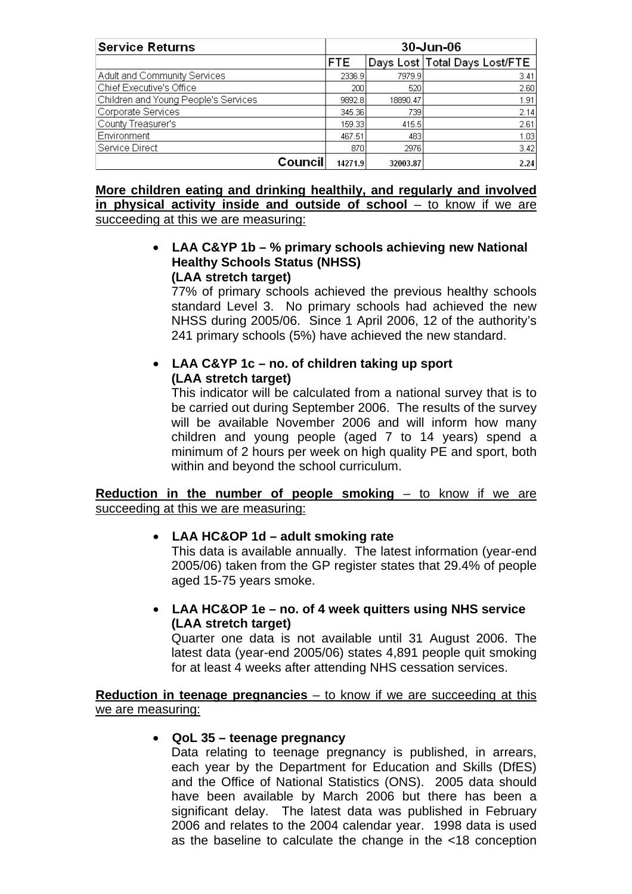| <b>Service Returns</b>               | 30-Jun-06  |          |                               |
|--------------------------------------|------------|----------|-------------------------------|
|                                      | <b>FTE</b> |          | Days Lost Total Days Lost/FTE |
| Adult and Community Services         | 2336.9     | 7979.9   | 3.41                          |
| Chief Executive's Office             | 200        | 520      | 2.60                          |
| Children and Young People's Services | 9892.8     | 18890.47 | 1.91                          |
| Corporate Services                   | 345.36     | 739      | 2.14                          |
| County Treasurer's                   | 159.331    | 415.5    | 2.61                          |
| Environment                          |            | 483      | 1.03                          |
| Service Direct                       | 870        | 2976     | 3.42                          |
| Council                              | 14271.9    | 32003.87 | 2.24                          |

### **More children eating and drinking healthily, and regularly and involved in physical activity inside and outside of school** – to know if we are succeeding at this we are measuring:

#### • **LAA C&YP 1b – % primary schools achieving new National Healthy Schools Status (NHSS) (LAA stretch target)**

77% of primary schools achieved the previous healthy schools standard Level 3. No primary schools had achieved the new NHSS during 2005/06. Since 1 April 2006, 12 of the authority's 241 primary schools (5%) have achieved the new standard.

## • **LAA C&YP 1c – no. of children taking up sport (LAA stretch target)**

This indicator will be calculated from a national survey that is to be carried out during September 2006. The results of the survey will be available November 2006 and will inform how many children and young people (aged 7 to 14 years) spend a minimum of 2 hours per week on high quality PE and sport, both within and beyond the school curriculum.

#### **Reduction in the number of people smoking – to know if we are** succeeding at this we are measuring:

## • **LAA HC&OP 1d – adult smoking rate**

This data is available annually. The latest information (year-end 2005/06) taken from the GP register states that 29.4% of people aged 15-75 years smoke.

• **LAA HC&OP 1e – no. of 4 week quitters using NHS service (LAA stretch target)** 

Quarter one data is not available until 31 August 2006. The latest data (year-end 2005/06) states 4,891 people quit smoking for at least 4 weeks after attending NHS cessation services.

**Reduction in teenage pregnancies** – to know if we are succeeding at this we are measuring:

### • **QoL 35 – teenage pregnancy**

Data relating to teenage pregnancy is published, in arrears, each year by the Department for Education and Skills (DfES) and the Office of National Statistics (ONS). 2005 data should have been available by March 2006 but there has been a significant delay. The latest data was published in February 2006 and relates to the 2004 calendar year. 1998 data is used as the baseline to calculate the change in the <18 conception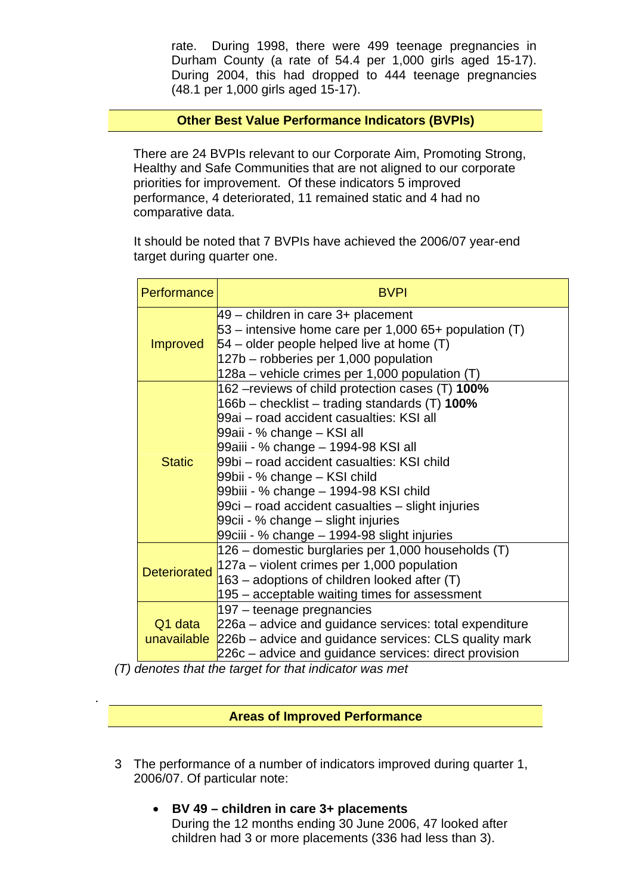rate. During 1998, there were 499 teenage pregnancies in Durham County (a rate of 54.4 per 1,000 girls aged 15-17). During 2004, this had dropped to 444 teenage pregnancies (48.1 per 1,000 girls aged 15-17).

### **Other Best Value Performance Indicators (BVPIs)**

There are 24 BVPIs relevant to our Corporate Aim, Promoting Strong, Healthy and Safe Communities that are not aligned to our corporate priorities for improvement. Of these indicators 5 improved performance, 4 deteriorated, 11 remained static and 4 had no comparative data.

It should be noted that 7 BVPIs have achieved the 2006/07 year-end target during quarter one.

| Performance                                                                                                                                                                                                                  | <b>BVPI</b>                                                                                                                                                                                                                                                                                                                                                                                                                                                                           |
|------------------------------------------------------------------------------------------------------------------------------------------------------------------------------------------------------------------------------|---------------------------------------------------------------------------------------------------------------------------------------------------------------------------------------------------------------------------------------------------------------------------------------------------------------------------------------------------------------------------------------------------------------------------------------------------------------------------------------|
| <b>Improved</b>                                                                                                                                                                                                              | $49$ – children in care 3+ placement<br>$53$ – intensive home care per 1,000 65+ population (T)<br>$54$ – older people helped live at home (T)<br>127b – robberies per 1,000 population<br>128a – vehicle crimes per 1,000 population (T)                                                                                                                                                                                                                                             |
| <b>Static</b>                                                                                                                                                                                                                | 162 – reviews of child protection cases (T) 100%<br>166b – checklist – trading standards $(T)$ 100%<br>99ai - road accident casualties: KSI all<br>99aii - % change – KSI all<br>99aiii - % change – 1994-98 KSI all<br>99bi – road accident casualties: KSI child<br>99bii - % change – KSI child<br>99biii - % change – 1994-98 KSI child<br>99ci – road accident casualties – slight injuries<br>99cii - % change – slight injuries<br>99ciii - % change - 1994-98 slight injuries |
| <b>Deteriorated</b>                                                                                                                                                                                                          | 126 – domestic burglaries per 1,000 households (T)<br>$127a$ – violent crimes per 1,000 population<br>163 – adoptions of children looked after (T)<br>195 – acceptable waiting times for assessment                                                                                                                                                                                                                                                                                   |
| 197 – teenage pregnancies<br>Q1 data<br>226a – advice and guidance services: total expenditure<br>unavailable 226b – advice and guidance services: CLS quality mark<br>226c – advice and guidance services: direct provision |                                                                                                                                                                                                                                                                                                                                                                                                                                                                                       |

*(T) denotes that the target for that indicator was met* 

*.* 

## **Areas of Improved Performance**

- 3 The performance of a number of indicators improved during quarter 1, 2006/07. Of particular note:
	- **BV 49 children in care 3+ placements**  During the 12 months ending 30 June 2006, 47 looked after children had 3 or more placements (336 had less than 3).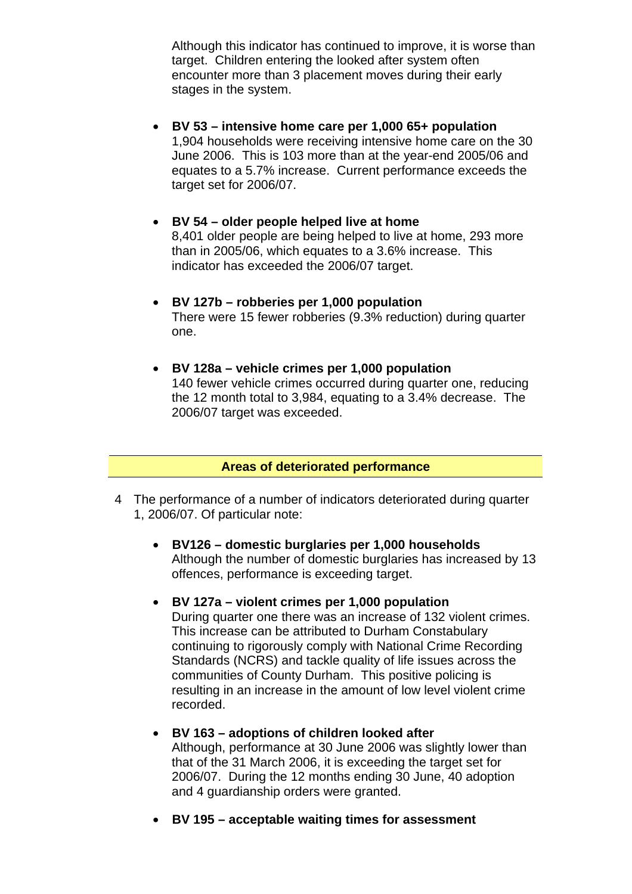Although this indicator has continued to improve, it is worse than target. Children entering the looked after system often encounter more than 3 placement moves during their early stages in the system.

- **BV 53 intensive home care per 1,000 65+ population**  1,904 households were receiving intensive home care on the 30 June 2006. This is 103 more than at the year-end 2005/06 and equates to a 5.7% increase. Current performance exceeds the target set for 2006/07.
- **BV 54 older people helped live at home**  8,401 older people are being helped to live at home, 293 more than in 2005/06, which equates to a 3.6% increase. This indicator has exceeded the 2006/07 target.
- **BV 127b robberies per 1,000 population**  There were 15 fewer robberies (9.3% reduction) during quarter one.
- **BV 128a vehicle crimes per 1,000 population**  140 fewer vehicle crimes occurred during quarter one, reducing the 12 month total to 3,984, equating to a 3.4% decrease. The 2006/07 target was exceeded.

### **Areas of deteriorated performance**

- 4 The performance of a number of indicators deteriorated during quarter 1, 2006/07. Of particular note:
	- **BV126 domestic burglaries per 1,000 households**  Although the number of domestic burglaries has increased by 13 offences, performance is exceeding target.
	- **BV 127a violent crimes per 1,000 population**  During quarter one there was an increase of 132 violent crimes. This increase can be attributed to Durham Constabulary continuing to rigorously comply with National Crime Recording Standards (NCRS) and tackle quality of life issues across the communities of County Durham. This positive policing is resulting in an increase in the amount of low level violent crime recorded.
	- **BV 163 adoptions of children looked after**  Although, performance at 30 June 2006 was slightly lower than that of the 31 March 2006, it is exceeding the target set for 2006/07. During the 12 months ending 30 June, 40 adoption and 4 guardianship orders were granted.
	- **BV 195 acceptable waiting times for assessment**